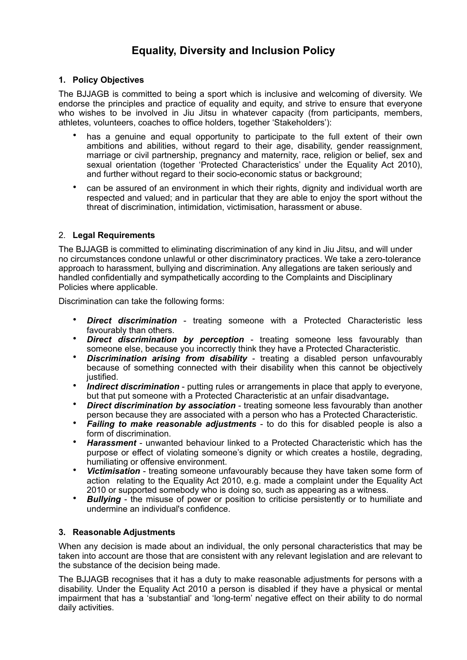# **Equality, Diversity and Inclusion Policy**

## **1. Policy Objectives**

The BJJAGB is committed to being a sport which is inclusive and welcoming of diversity. We endorse the principles and practice of equality and equity, and strive to ensure that everyone who wishes to be involved in Jiu Jitsu in whatever capacity (from participants, members, athletes, volunteers, coaches to office holders, together 'Stakeholders'):

- has a genuine and equal opportunity to participate to the full extent of their own ambitions and abilities, without regard to their age, disability, gender reassignment, marriage or civil partnership, pregnancy and maternity, race, religion or belief, sex and sexual orientation (together 'Protected Characteristics' under the Equality Act 2010), and further without regard to their socio-economic status or background;
- can be assured of an environment in which their rights, dignity and individual worth are respected and valued; and in particular that they are able to enjoy the sport without the threat of discrimination, intimidation, victimisation, harassment or abuse.

#### 2. **Legal Requirements**

The BJJAGB is committed to eliminating discrimination of any kind in Jiu Jitsu, and will under no circumstances condone unlawful or other discriminatory practices. We take a zero-tolerance approach to harassment, bullying and discrimination. Any allegations are taken seriously and handled confidentially and sympathetically according to the Complaints and Disciplinary Policies where applicable.

Discrimination can take the following forms:

- *Direct discrimination* treating someone with a Protected Characteristic less favourably than others.
- **Direct discrimination by perception** treating someone less favourably than someone else, because you incorrectly think they have a Protected Characteristic.
- **Discrimination arising from disability** treating a disabled person unfavourably because of something connected with their disability when this cannot be objectively justified.
- *Indirect discrimination* putting rules or arrangements in place that apply to everyone, but that put someone with a Protected Characteristic at an unfair disadvantage**.**
- **Direct discrimination by association** treating someone less favourably than another person because they are associated with a person who has a Protected Characteristic.
- *Failing to make reasonable adjustments* to do this for disabled people is also a form of discrimination.
- *Harassment* unwanted behaviour linked to a Protected Characteristic which has the purpose or effect of violating someone's dignity or which creates a hostile, degrading, humiliating or offensive environment.
- *Victimisation* treating someone unfavourably because they have taken some form of action relating to the Equality Act 2010, e.g. made a complaint under the Equality Act 2010 or supported somebody who is doing so, such as appearing as a witness.
- **Bullying** the misuse of power or position to criticise persistently or to humiliate and undermine an individual's confidence.

#### **3. Reasonable Adjustments**

When any decision is made about an individual, the only personal characteristics that may be taken into account are those that are consistent with any relevant legislation and are relevant to the substance of the decision being made.

The BJJAGB recognises that it has a duty to make reasonable adjustments for persons with a disability. Under the Equality Act 2010 a person is disabled if they have a physical or mental impairment that has a 'substantial' and 'long-term' negative effect on their ability to do normal daily activities.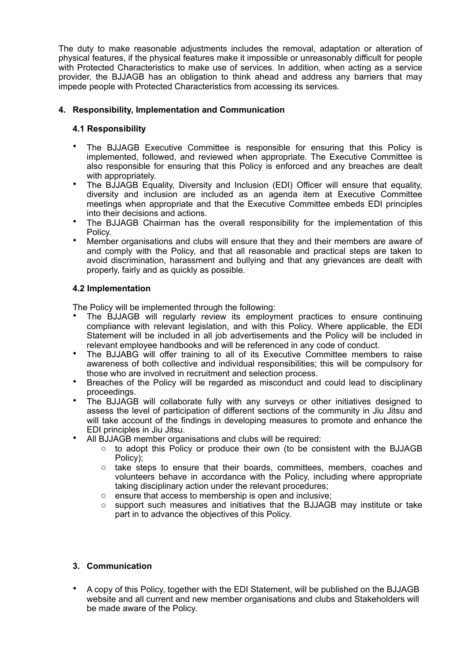The duty to make reasonable adjustments includes the removal, adaptation or alteration of physical features, if the physical features make it impossible or unreasonably difficult for people with Protected Characteristics to make use of services. In addition, when acting as a service provider, the BJJAGB has an obligation to think ahead and address any barriers that may impede people with Protected Characteristics from accessing its services.

# **4. Responsibility, Implementation and Communication**

#### **4.1 Responsibility**

- The BJJAGB Executive Committee is responsible for ensuring that this Policy is implemented, followed, and reviewed when appropriate. The Executive Committee is also responsible for ensuring that this Policy is enforced and any breaches are dealt with appropriately.
- The BJJAGB Equality, Diversity and Inclusion (EDI) Officer will ensure that equality, diversity and inclusion are included as an agenda item at Executive Committee meetings when appropriate and that the Executive Committee embeds EDI principles into their decisions and actions.
- The BJJAGB Chairman has the overall responsibility for the implementation of this Policy.
- Member organisations and clubs will ensure that they and their members are aware of and comply with the Policy, and that all reasonable and practical steps are taken to avoid discrimination, harassment and bullying and that any grievances are dealt with properly, fairly and as quickly as possible.

# **4.2 Implementation**

The Policy will be implemented through the following:

- The BJJAGB will regularly review its employment practices to ensure continuing compliance with relevant legislation, and with this Policy. Where applicable, the EDI Statement will be included in all job advertisements and the Policy will be included in relevant employee handbooks and will be referenced in any code of conduct.
- The BJJABG will offer training to all of its Executive Committee members to raise awareness of both collective and individual responsibilities; this will be compulsory for those who are involved in recruitment and selection process.
- Breaches of the Policy will be regarded as misconduct and could lead to disciplinary proceedings.
- The BJJAGB will collaborate fully with any surveys or other initiatives designed to assess the level of participation of different sections of the community in Jiu Jitsu and will take account of the findings in developing measures to promote and enhance the EDI principles in Jiu Jitsu.
- All BJJAGB member organisations and clubs will be required:
	- $\circ$  to adopt this Policy or produce their own (to be consistent with the BJJAGB Policy);
	- o take steps to ensure that their boards, committees, members, coaches and volunteers behave in accordance with the Policy, including where appropriate taking disciplinary action under the relevant procedures;
	- o ensure that access to membership is open and inclusive;
	- $\circ$  support such measures and initiatives that the BJJAGB may institute or take part in to advance the objectives of this Policy.

#### **3. Communication**

• A copy of this Policy, together with the EDI Statement, will be published on the BJJAGB website and all current and new member organisations and clubs and Stakeholders will be made aware of the Policy.